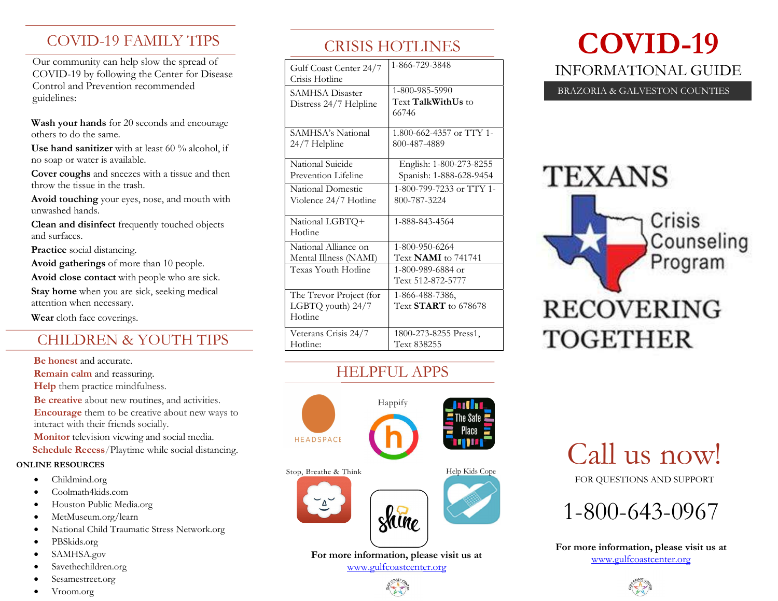# COVID-19 FAMILY TIPS

Our community can help slow the spread of COVID-19 by following the Center for Disease Control and Prevention recommended guidelines:

Wash your hands for 20 seconds and encourage others to do the same.

Use hand sanitizer with at least 60 % alcohol, if no soap or water is available.

Cover coughs and sneezes with a tissue and then throw the tissue in the trash.

Avoid touching your eyes, nose, and mouth with unwashed hands.

Clean and disinfect frequently touched objects and surfaces.

Practice social distancing.

Avoid gatherings of more than 10 people. Avoid close contact with people who are sick. Stay home when you are sick, seeking medical attention when necessary.

Wear cloth face coverings.

# CHILDREN & YOUTH TIPS

Be honest and accurate.

Remain calm and reassuring.

Help them practice mindfulness.

Be creative about new routines, and activities.

Encourage them to be creative about new ways to interact with their friends socially.

Monitor television viewing and social media.

Schedule Recess/Playtime while social distancing.

#### ONLINE RESOURCES

- Childmind.org
- Coolmath4kids.com
- Houston Public Media.org
- MetMuseum.org/learn
- National Child Traumatic Stress Network.org
- PBSkids.org
- SAMHSA.gov
- Savethechildren.org
- Sesamestreet.org
- Vroom.org

# CRISIS HOTLINES

| 1-866-729-3848             |
|----------------------------|
|                            |
| 1-800-985-5990             |
| Text <b>TalkWithUs</b> to  |
| 66746                      |
| 1.800-662-4357 or TTY 1-   |
| 800-487-4889               |
|                            |
| English: 1-800-273-8255    |
| Spanish: 1-888-628-9454    |
| 1-800-799-7233 or TTY 1-   |
| 800-787-3224               |
|                            |
| 1-888-843-4564             |
|                            |
| 1-800-950-6264             |
| Text <b>NAMI</b> to 741741 |
| 1-800-989-6884 or          |
| Text 512-872-5777          |
| 1-866-488-7386,            |
| Text $START$ to 678678     |
|                            |
| 1800-273-8255 Press1,      |
| Text 838255                |
|                            |

### HELPFUL APPS



For more information, please visit us at

# COVID-19 INFORMATIONAL GUIDE

#### BRAZORIA & GALVESTON COUNTIES

# **TEXANS**

Crisis Counseling Program

**RECOVERING TOGETHER** 

Call us now!

FOR QUESTIONS AND SUPPORT



For more information, please visit us at www.gulfcoastcenter.org



www.gulfcoastcenter.org